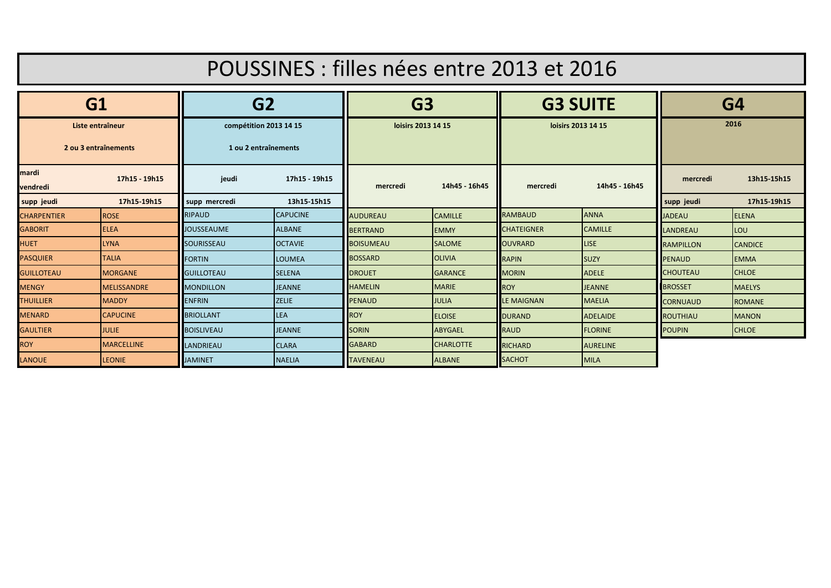| POUSSINES : filles nées entre 2013 et 2016 |                   |                                                |                 |                    |                  |                    |                 |                  |                |
|--------------------------------------------|-------------------|------------------------------------------------|-----------------|--------------------|------------------|--------------------|-----------------|------------------|----------------|
| G1                                         |                   | G <sub>2</sub>                                 |                 | G <sub>3</sub>     |                  | <b>G3 SUITE</b>    |                 | G4               |                |
| Liste entraîneur<br>2 ou 3 entraînements   |                   | compétition 2013 14 15<br>1 ou 2 entraînements |                 | loisirs 2013 14 15 |                  | loisirs 2013 14 15 |                 | 2016             |                |
| mardi<br>vendredi                          | 17h15 - 19h15     | jeudi                                          | 17h15 - 19h15   | mercredi           | 14h45 - 16h45    | mercredi           | 14h45 - 16h45   | mercredi         | 13h15-15h15    |
| supp jeudi                                 | 17h15-19h15       | supp mercredi                                  | 13h15-15h15     |                    |                  |                    |                 | supp jeudi       | 17h15-19h15    |
| <b>CHARPENTIER</b>                         | <b>ROSE</b>       | <b>RIPAUD</b>                                  | <b>CAPUCINE</b> | <b>AUDUREAU</b>    | <b>CAMILLE</b>   | <b>RAMBAUD</b>     | <b>ANNA</b>     | <b>JADEAU</b>    | <b>ELENA</b>   |
| <b>GABORIT</b>                             | <b>IELEA</b>      | <b>JOUSSEAUME</b>                              | <b>ALBANE</b>   | <b>BERTRAND</b>    | <b>EMMY</b>      | <b>CHATEIGNER</b>  | <b>CAMILLE</b>  | <b>LANDREAU</b>  | LOU            |
| <b>HUET</b>                                | <b>LYNA</b>       | <b>SOURISSEAU</b>                              | <b>OCTAVIE</b>  | <b>BOISUMEAU</b>   | <b>SALOME</b>    | <b>OUVRARD</b>     | <b>LISE</b>     | <b>RAMPILLON</b> | <b>CANDICE</b> |
| <b>PASQUIER</b>                            | <b>TALIA</b>      | <b>FORTIN</b>                                  | <b>LOUMEA</b>   | <b>BOSSARD</b>     | <b>OLIVIA</b>    | <b>RAPIN</b>       | <b>SUZY</b>     | <b>PENAUD</b>    | <b>EMMA</b>    |
| <b>GUILLOTEAU</b>                          | <b>MORGANE</b>    | <b>GUILLOTEAU</b>                              | <b>SELENA</b>   | <b>DROUET</b>      | <b>GARANCE</b>   | <b>MORIN</b>       | <b>ADELE</b>    | <b>CHOUTEAU</b>  | <b>CHLOE</b>   |
| <b>MENGY</b>                               | MELISSANDRE       | <b>MONDILLON</b>                               | <b>JEANNE</b>   | <b>HAMELIN</b>     | <b>MARIE</b>     | <b>ROY</b>         | <b>JEANNE</b>   | <b>BROSSET</b>   | <b>MAELYS</b>  |
| <b>THUILLIER</b>                           | <b>MADDY</b>      | <b>ENFRIN</b>                                  | <b>ZELIE</b>    | <b>PENAUD</b>      | <b>JULIA</b>     | <b>LE MAIGNAN</b>  | <b>MAELIA</b>   | <b>CORNUAUD</b>  | <b>ROMANE</b>  |
| <b>MENARD</b>                              | <b>CAPUCINE</b>   | <b>BRIOLLANT</b>                               | LEA             | <b>ROY</b>         | <b>ELOISE</b>    | <b>DURAND</b>      | <b>ADELAIDE</b> | <b>ROUTHIAU</b>  | <b>MANON</b>   |
| <b>GAULTIER</b>                            | <b>JULIE</b>      | <b>BOISLIVEAU</b>                              | <b>JEANNE</b>   | <b>SORIN</b>       | <b>ABYGAEL</b>   | <b>RAUD</b>        | <b>FLORINE</b>  | <b>POUPIN</b>    | <b>CHLOE</b>   |
| <b>ROY</b>                                 | <b>MARCELLINE</b> | LANDRIEAU                                      | <b>CLARA</b>    | <b>GABARD</b>      | <b>CHARLOTTE</b> | <b>RICHARD</b>     | <b>AURELINE</b> |                  |                |
| <b>LANOUE</b>                              | <b>LEONIE</b>     | <b>JAMINET</b>                                 | <b>NAELIA</b>   | <b>TAVENEAU</b>    | <b>ALBANE</b>    | <b>SACHOT</b>      | <b>MILA</b>     |                  |                |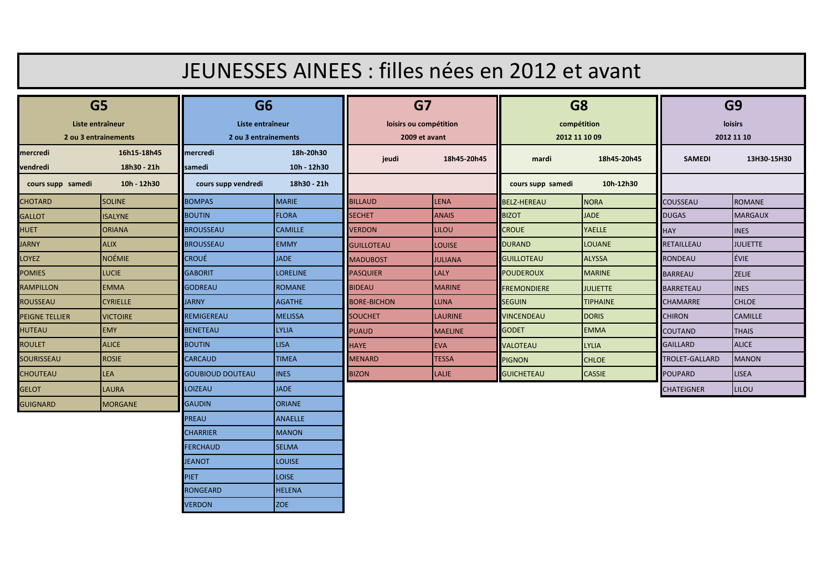| JEUNESSES AINEES : filles nées en 2012 et avant            |                            |                                                            |                          |                                               |                |                                                |                 |                                         |                 |
|------------------------------------------------------------|----------------------------|------------------------------------------------------------|--------------------------|-----------------------------------------------|----------------|------------------------------------------------|-----------------|-----------------------------------------|-----------------|
| G <sub>5</sub><br>Liste entraîneur<br>2 ou 3 entrainements |                            | G <sub>6</sub><br>Liste entraîneur<br>2 ou 3 entrainements |                          | G7<br>loisirs ou compétition<br>2009 et avant |                | G <sub>8</sub><br>compétition<br>2012 11 10 09 |                 | G <sub>9</sub><br>loisirs<br>2012 11 10 |                 |
| mercredi                                                   | 16h15-18h45                | mercredi                                                   | 18h-20h30                | jeudi                                         | 18h45-20h45    | mardi                                          | 18h45-20h45     | <b>SAMEDI</b>                           | 13H30-15H30     |
| <b>vendredi</b><br>cours supp samedi                       | 18h30 - 21h<br>10h - 12h30 | <b>samedi</b><br>cours supp vendredi                       | 10h 12h30<br>18h30 - 21h |                                               |                | cours supp samedi                              | 10h-12h30       |                                         |                 |
| <b>CHOTARD</b>                                             | <b>SOLINE</b>              | <b>BOMPAS</b>                                              | <b>MARIE</b>             | <b>BILLAUD</b>                                | LENA           | <b>BELZ-HEREAU</b>                             | <b>NORA</b>     | <b>COUSSEAU</b>                         | <b>ROMANE</b>   |
| <b>GALLOT</b>                                              | <b>ISALYNE</b>             | <b>BOUTIN</b>                                              | <b>FLORA</b>             | <b>SECHET</b>                                 | <b>ANAIS</b>   | <b>BIZOT</b>                                   | <b>JADE</b>     | <b>DUGAS</b>                            | <b>MARGAUX</b>  |
| <b>HUET</b>                                                | <b>ORIANA</b>              | <b>BROUSSEAU</b>                                           | <b>CAMILLE</b>           | <b>VERDON</b>                                 | <b>LILOU</b>   | <b>CROUE</b>                                   | <b>YAELLE</b>   | <b>HAY</b>                              | <b>INES</b>     |
| <b>JARNY</b>                                               | <b>ALIX</b>                | <b>BROUSSEAU</b>                                           | <b>EMMY</b>              | <b>GUILLOTEAU</b>                             | <b>LOUISE</b>  | <b>DURAND</b>                                  | <b>LOUANE</b>   | <b>RETAILLEAU</b>                       | <b>JULIETTE</b> |
| <b>LOYEZ</b>                                               | NOÉMIE                     | <b>CROUÉ</b>                                               | <b>JADE</b>              | <b>MADUBOST</b>                               | <b>JULIANA</b> | <b>GUILLOTEAU</b>                              | <b>ALYSSA</b>   | <b>RONDEAU</b>                          | <b>ÉVIE</b>     |
| <b>POMIES</b>                                              | <b>LUCIE</b>               | <b>GABORIT</b>                                             | <b>LORELINE</b>          | <b>PASQUIER</b>                               | <b>LALY</b>    | <b>POUDEROUX</b>                               | <b>MARINE</b>   | <b>BARREAU</b>                          | <b>ZELIE</b>    |
| <b>RAMPILLON</b>                                           | <b>EMMA</b>                | <b>GODREAU</b>                                             | <b>ROMANE</b>            | <b>BIDEAU</b>                                 | <b>MARINE</b>  | <b>FREMONDIERE</b>                             | <b>JULIETTE</b> | <b>BARRETEAU</b>                        | <b>INES</b>     |
| <b>ROUSSEAU</b>                                            | <b>CYRIELLE</b>            | <b>JARNY</b>                                               | <b>AGATHE</b>            | <b>BORE-BICHON</b>                            | <b>LUNA</b>    | <b>SEGUIN</b>                                  | <b>TIPHAINE</b> | <b>CHAMARRE</b>                         | <b>CHLOE</b>    |
| <b>PEIGNE TELLIER</b>                                      | <b>VICTOIRE</b>            | <b>REMIGEREAU</b>                                          | <b>MELISSA</b>           | <b>SOUCHET</b>                                | <b>LAURINE</b> | VINCENDEAU                                     | <b>DORIS</b>    | <b>CHIRON</b>                           | <b>CAMILLE</b>  |
| <b>HUTEAU</b>                                              | <b>EMY</b>                 | <b>BENETEAU</b>                                            | <b>LYLIA</b>             | <b>PUAUD</b>                                  | <b>MAELINE</b> | <b>GODET</b>                                   | <b>EMMA</b>     | <b>COUTAND</b>                          | <b>THAIS</b>    |
| <b>ROULET</b>                                              | <b>ALICE</b>               | <b>BOUTIN</b>                                              | <b>LISA</b>              | <b>HAYE</b>                                   | <b>EVA</b>     | VALOTEAU                                       | <b>LYLIA</b>    | <b>GAILLARD</b>                         | <b>ALICE</b>    |
| SOURISSEAU                                                 | <b>ROSIE</b>               | <b>CARCAUD</b>                                             | <b>TIMEA</b>             | <b>MENARD</b>                                 | <b>TESSA</b>   | <b>PIGNON</b>                                  | <b>CHLOE</b>    | TROLET-GALLARD                          | <b>MANON</b>    |
| <b>CHOUTEAU</b>                                            | <b>LEA</b>                 | <b>GOUBIOUD DOUTEAU</b>                                    | <b>INES</b>              | <b>BIZON</b>                                  | <b>LALIE</b>   | <b>GUICHETEAU</b>                              | <b>CASSIE</b>   | <b>POUPARD</b>                          | <b>LISEA</b>    |
| <b>GELOT</b>                                               | <b>LAURA</b>               | <b>LOIZEAU</b>                                             | <b>JADE</b>              |                                               |                |                                                |                 | <b>CHATEIGNER</b>                       | LILOU           |
| <b>GUIGNARD</b>                                            | <b>MORGANE</b>             | <b>GAUDIN</b>                                              | <b>ORIANE</b>            |                                               |                |                                                |                 |                                         |                 |
|                                                            |                            | PREAU                                                      | <b>ANAELLE</b>           |                                               |                |                                                |                 |                                         |                 |
|                                                            |                            | <b>CHARRIER</b>                                            | <b>MANON</b>             |                                               |                |                                                |                 |                                         |                 |
|                                                            |                            | <b>FERCHAUD</b>                                            | <b>SELMA</b>             |                                               |                |                                                |                 |                                         |                 |
|                                                            |                            | <b>JEANOT</b>                                              | <b>LOUISE</b>            |                                               |                |                                                |                 |                                         |                 |
|                                                            |                            | <b>PIET</b>                                                | <b>LOISE</b>             |                                               |                |                                                |                 |                                         |                 |
|                                                            |                            | <b>RONGEARD</b>                                            | <b>HELENA</b>            |                                               |                |                                                |                 |                                         |                 |
|                                                            |                            | <b>VERDON</b>                                              | <b>ZOE</b>               |                                               |                |                                                |                 |                                         |                 |